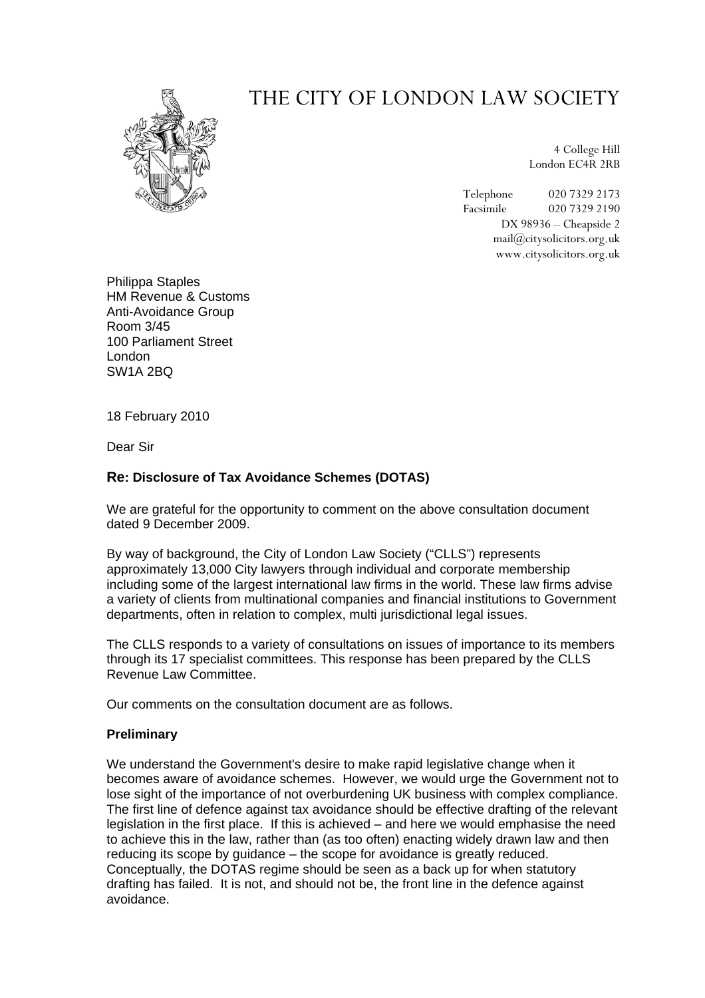# THE CITY OF LONDON LAW SOCIETY

4 College Hill London EC4R 2RB

Telephone 020 7329 2173 Facsimile 020 7329 2190 DX 98936 – Cheapside 2 mail@citysolicitors.org.uk www.citysolicitors.org.uk

Philippa Staples HM Revenue & Customs Anti-Avoidance Group Room 3/45 100 Parliament Street London SW1A 2BQ

18 February 2010

Dear Sir

## **Re: Disclosure of Tax Avoidance Schemes (DOTAS)**

We are grateful for the opportunity to comment on the above consultation document dated 9 December 2009.

By way of background, the City of London Law Society ("CLLS") represents approximately 13,000 City lawyers through individual and corporate membership including some of the largest international law firms in the world. These law firms advise a variety of clients from multinational companies and financial institutions to Government departments, often in relation to complex, multi jurisdictional legal issues.

The CLLS responds to a variety of consultations on issues of importance to its members through its 17 specialist committees. This response has been prepared by the CLLS Revenue Law Committee.

Our comments on the consultation document are as follows.

### **Preliminary**

We understand the Government's desire to make rapid legislative change when it becomes aware of avoidance schemes. However, we would urge the Government not to lose sight of the importance of not overburdening UK business with complex compliance. The first line of defence against tax avoidance should be effective drafting of the relevant legislation in the first place. If this is achieved – and here we would emphasise the need to achieve this in the law, rather than (as too often) enacting widely drawn law and then reducing its scope by guidance – the scope for avoidance is greatly reduced. Conceptually, the DOTAS regime should be seen as a back up for when statutory drafting has failed. It is not, and should not be, the front line in the defence against avoidance.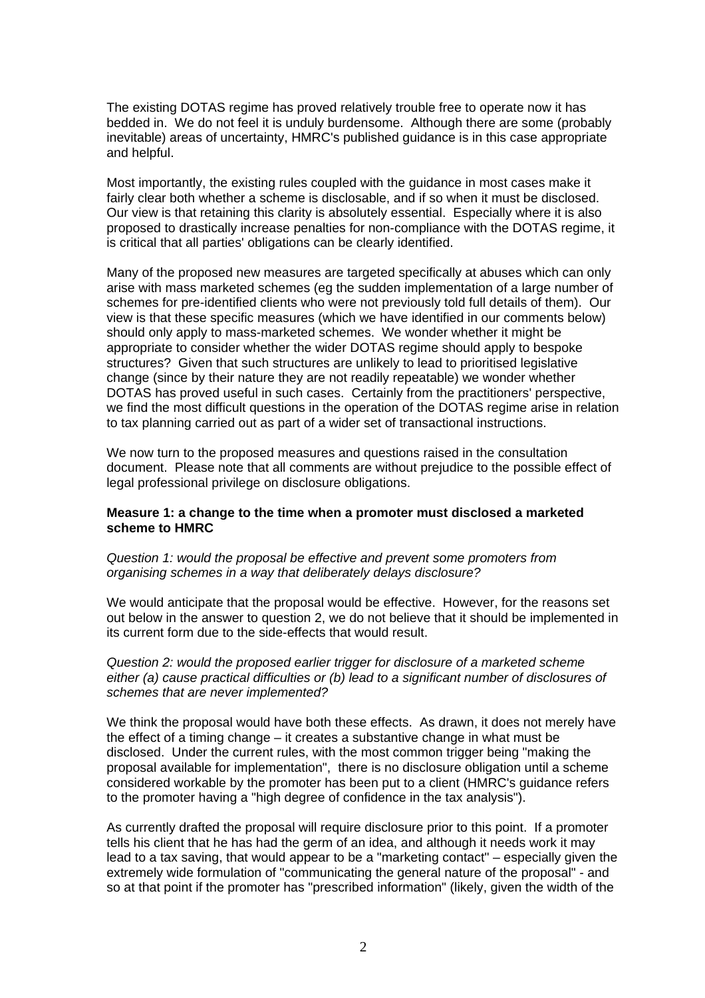The existing DOTAS regime has proved relatively trouble free to operate now it has bedded in. We do not feel it is unduly burdensome. Although there are some (probably inevitable) areas of uncertainty, HMRC's published guidance is in this case appropriate and helpful.

Most importantly, the existing rules coupled with the guidance in most cases make it fairly clear both whether a scheme is disclosable, and if so when it must be disclosed. Our view is that retaining this clarity is absolutely essential. Especially where it is also proposed to drastically increase penalties for non-compliance with the DOTAS regime, it is critical that all parties' obligations can be clearly identified.

Many of the proposed new measures are targeted specifically at abuses which can only arise with mass marketed schemes (eg the sudden implementation of a large number of schemes for pre-identified clients who were not previously told full details of them). Our view is that these specific measures (which we have identified in our comments below) should only apply to mass-marketed schemes. We wonder whether it might be appropriate to consider whether the wider DOTAS regime should apply to bespoke structures? Given that such structures are unlikely to lead to prioritised legislative change (since by their nature they are not readily repeatable) we wonder whether DOTAS has proved useful in such cases. Certainly from the practitioners' perspective, we find the most difficult questions in the operation of the DOTAS regime arise in relation to tax planning carried out as part of a wider set of transactional instructions.

We now turn to the proposed measures and questions raised in the consultation document. Please note that all comments are without prejudice to the possible effect of legal professional privilege on disclosure obligations.

#### **Measure 1: a change to the time when a promoter must disclosed a marketed scheme to HMRC**

#### *Question 1: would the proposal be effective and prevent some promoters from organising schemes in a way that deliberately delays disclosure?*

We would anticipate that the proposal would be effective. However, for the reasons set out below in the answer to question 2, we do not believe that it should be implemented in its current form due to the side-effects that would result.

*Question 2: would the proposed earlier trigger for disclosure of a marketed scheme either (a) cause practical difficulties or (b) lead to a significant number of disclosures of schemes that are never implemented?* 

We think the proposal would have both these effects. As drawn, it does not merely have the effect of a timing change – it creates a substantive change in what must be disclosed. Under the current rules, with the most common trigger being "making the proposal available for implementation", there is no disclosure obligation until a scheme considered workable by the promoter has been put to a client (HMRC's guidance refers to the promoter having a "high degree of confidence in the tax analysis").

As currently drafted the proposal will require disclosure prior to this point. If a promoter tells his client that he has had the germ of an idea, and although it needs work it may lead to a tax saving, that would appear to be a "marketing contact" – especially given the extremely wide formulation of "communicating the general nature of the proposal" - and so at that point if the promoter has "prescribed information" (likely, given the width of the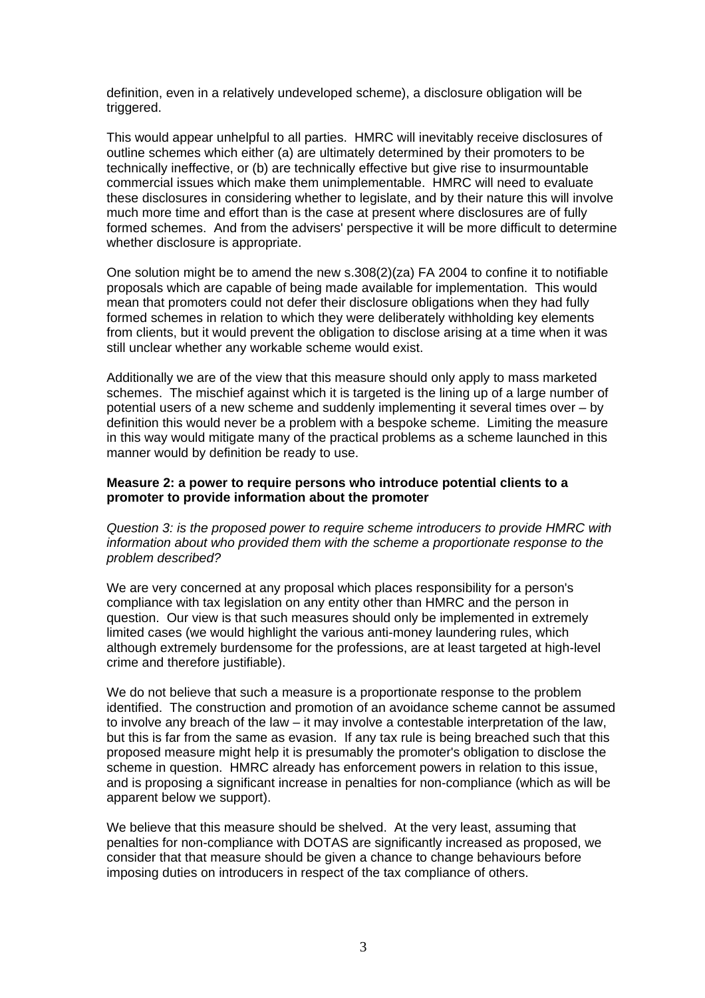definition, even in a relatively undeveloped scheme), a disclosure obligation will be triggered.

This would appear unhelpful to all parties. HMRC will inevitably receive disclosures of outline schemes which either (a) are ultimately determined by their promoters to be technically ineffective, or (b) are technically effective but give rise to insurmountable commercial issues which make them unimplementable. HMRC will need to evaluate these disclosures in considering whether to legislate, and by their nature this will involve much more time and effort than is the case at present where disclosures are of fully formed schemes. And from the advisers' perspective it will be more difficult to determine whether disclosure is appropriate.

One solution might be to amend the new s.308(2)(za) FA 2004 to confine it to notifiable proposals which are capable of being made available for implementation. This would mean that promoters could not defer their disclosure obligations when they had fully formed schemes in relation to which they were deliberately withholding key elements from clients, but it would prevent the obligation to disclose arising at a time when it was still unclear whether any workable scheme would exist.

Additionally we are of the view that this measure should only apply to mass marketed schemes. The mischief against which it is targeted is the lining up of a large number of potential users of a new scheme and suddenly implementing it several times over – by definition this would never be a problem with a bespoke scheme. Limiting the measure in this way would mitigate many of the practical problems as a scheme launched in this manner would by definition be ready to use.

#### **Measure 2: a power to require persons who introduce potential clients to a promoter to provide information about the promoter**

*Question 3: is the proposed power to require scheme introducers to provide HMRC with information about who provided them with the scheme a proportionate response to the problem described?* 

We are very concerned at any proposal which places responsibility for a person's compliance with tax legislation on any entity other than HMRC and the person in question. Our view is that such measures should only be implemented in extremely limited cases (we would highlight the various anti-money laundering rules, which although extremely burdensome for the professions, are at least targeted at high-level crime and therefore justifiable).

We do not believe that such a measure is a proportionate response to the problem identified. The construction and promotion of an avoidance scheme cannot be assumed to involve any breach of the law – it may involve a contestable interpretation of the law, but this is far from the same as evasion. If any tax rule is being breached such that this proposed measure might help it is presumably the promoter's obligation to disclose the scheme in question. HMRC already has enforcement powers in relation to this issue, and is proposing a significant increase in penalties for non-compliance (which as will be apparent below we support).

We believe that this measure should be shelved. At the very least, assuming that penalties for non-compliance with DOTAS are significantly increased as proposed, we consider that that measure should be given a chance to change behaviours before imposing duties on introducers in respect of the tax compliance of others.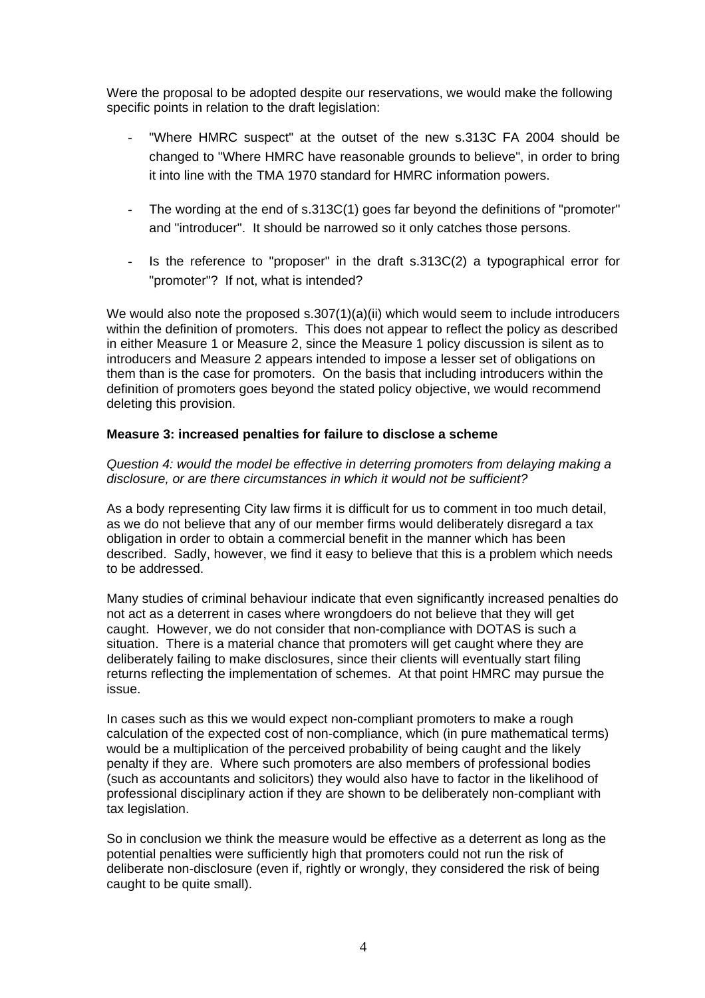Were the proposal to be adopted despite our reservations, we would make the following specific points in relation to the draft legislation:

- "Where HMRC suspect" at the outset of the new s.313C FA 2004 should be changed to "Where HMRC have reasonable grounds to believe", in order to bring it into line with the TMA 1970 standard for HMRC information powers.
- The wording at the end of s.313C(1) goes far beyond the definitions of "promoter" and "introducer". It should be narrowed so it only catches those persons.
- Is the reference to "proposer" in the draft s.313C(2) a typographical error for "promoter"? If not, what is intended?

We would also note the proposed  $s.307(1)(a)(ii)$  which would seem to include introducers within the definition of promoters. This does not appear to reflect the policy as described in either Measure 1 or Measure 2, since the Measure 1 policy discussion is silent as to introducers and Measure 2 appears intended to impose a lesser set of obligations on them than is the case for promoters. On the basis that including introducers within the definition of promoters goes beyond the stated policy objective, we would recommend deleting this provision.

### **Measure 3: increased penalties for failure to disclose a scheme**

*Question 4: would the model be effective in deterring promoters from delaying making a disclosure, or are there circumstances in which it would not be sufficient?* 

As a body representing City law firms it is difficult for us to comment in too much detail, as we do not believe that any of our member firms would deliberately disregard a tax obligation in order to obtain a commercial benefit in the manner which has been described. Sadly, however, we find it easy to believe that this is a problem which needs to be addressed.

Many studies of criminal behaviour indicate that even significantly increased penalties do not act as a deterrent in cases where wrongdoers do not believe that they will get caught. However, we do not consider that non-compliance with DOTAS is such a situation. There is a material chance that promoters will get caught where they are deliberately failing to make disclosures, since their clients will eventually start filing returns reflecting the implementation of schemes. At that point HMRC may pursue the issue.

In cases such as this we would expect non-compliant promoters to make a rough calculation of the expected cost of non-compliance, which (in pure mathematical terms) would be a multiplication of the perceived probability of being caught and the likely penalty if they are. Where such promoters are also members of professional bodies (such as accountants and solicitors) they would also have to factor in the likelihood of professional disciplinary action if they are shown to be deliberately non-compliant with tax legislation.

So in conclusion we think the measure would be effective as a deterrent as long as the potential penalties were sufficiently high that promoters could not run the risk of deliberate non-disclosure (even if, rightly or wrongly, they considered the risk of being caught to be quite small).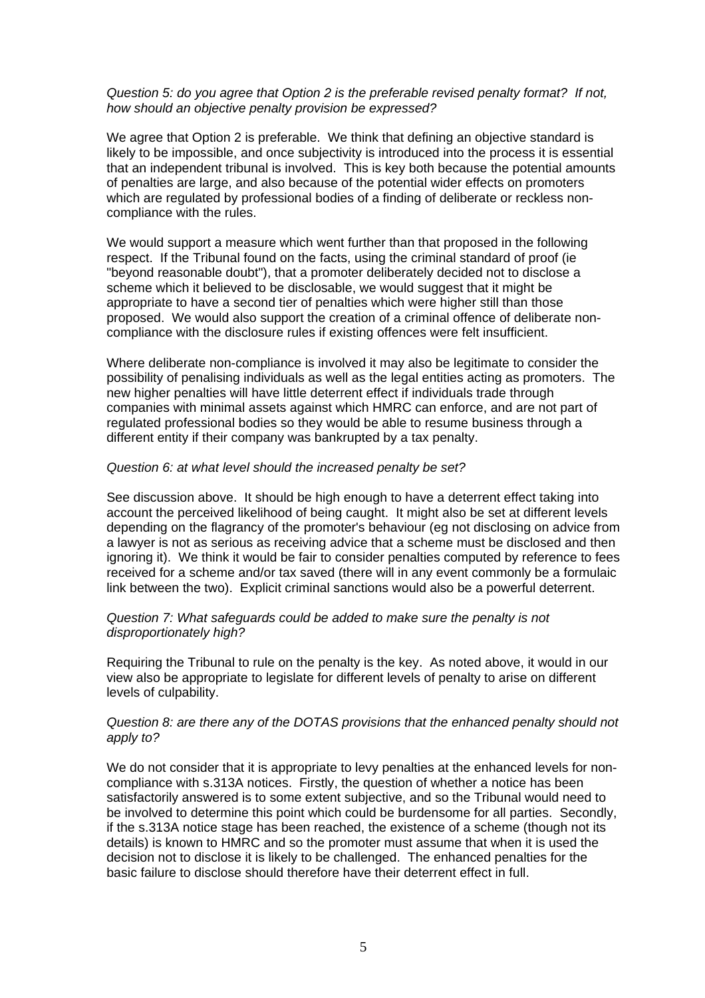#### *Question 5: do you agree that Option 2 is the preferable revised penalty format? If not, how should an objective penalty provision be expressed?*

We agree that Option 2 is preferable. We think that defining an objective standard is likely to be impossible, and once subjectivity is introduced into the process it is essential that an independent tribunal is involved. This is key both because the potential amounts of penalties are large, and also because of the potential wider effects on promoters which are regulated by professional bodies of a finding of deliberate or reckless noncompliance with the rules.

We would support a measure which went further than that proposed in the following respect. If the Tribunal found on the facts, using the criminal standard of proof (ie "beyond reasonable doubt"), that a promoter deliberately decided not to disclose a scheme which it believed to be disclosable, we would suggest that it might be appropriate to have a second tier of penalties which were higher still than those proposed. We would also support the creation of a criminal offence of deliberate noncompliance with the disclosure rules if existing offences were felt insufficient.

Where deliberate non-compliance is involved it may also be legitimate to consider the possibility of penalising individuals as well as the legal entities acting as promoters. The new higher penalties will have little deterrent effect if individuals trade through companies with minimal assets against which HMRC can enforce, and are not part of regulated professional bodies so they would be able to resume business through a different entity if their company was bankrupted by a tax penalty.

#### *Question 6: at what level should the increased penalty be set?*

See discussion above. It should be high enough to have a deterrent effect taking into account the perceived likelihood of being caught. It might also be set at different levels depending on the flagrancy of the promoter's behaviour (eg not disclosing on advice from a lawyer is not as serious as receiving advice that a scheme must be disclosed and then ignoring it). We think it would be fair to consider penalties computed by reference to fees received for a scheme and/or tax saved (there will in any event commonly be a formulaic link between the two). Explicit criminal sanctions would also be a powerful deterrent.

#### *Question 7: What safeguards could be added to make sure the penalty is not disproportionately high?*

Requiring the Tribunal to rule on the penalty is the key. As noted above, it would in our view also be appropriate to legislate for different levels of penalty to arise on different levels of culpability.

#### *Question 8: are there any of the DOTAS provisions that the enhanced penalty should not apply to?*

We do not consider that it is appropriate to levy penalties at the enhanced levels for noncompliance with s.313A notices. Firstly, the question of whether a notice has been satisfactorily answered is to some extent subjective, and so the Tribunal would need to be involved to determine this point which could be burdensome for all parties. Secondly, if the s.313A notice stage has been reached, the existence of a scheme (though not its details) is known to HMRC and so the promoter must assume that when it is used the decision not to disclose it is likely to be challenged. The enhanced penalties for the basic failure to disclose should therefore have their deterrent effect in full.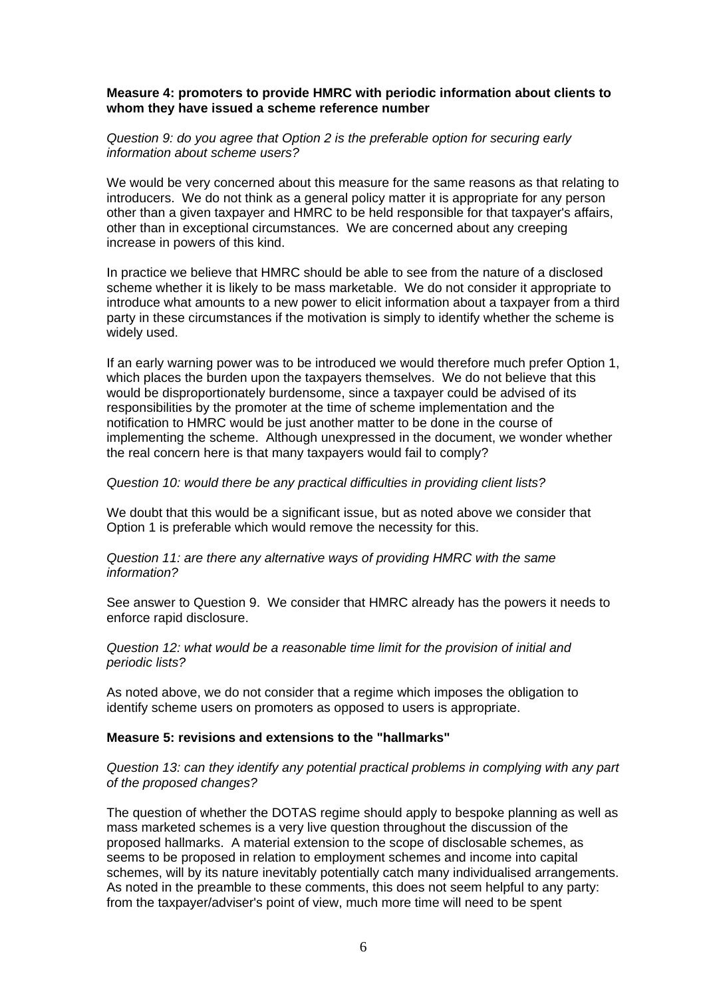#### **Measure 4: promoters to provide HMRC with periodic information about clients to whom they have issued a scheme reference number**

#### *Question 9: do you agree that Option 2 is the preferable option for securing early information about scheme users?*

We would be very concerned about this measure for the same reasons as that relating to introducers. We do not think as a general policy matter it is appropriate for any person other than a given taxpayer and HMRC to be held responsible for that taxpayer's affairs, other than in exceptional circumstances. We are concerned about any creeping increase in powers of this kind.

In practice we believe that HMRC should be able to see from the nature of a disclosed scheme whether it is likely to be mass marketable. We do not consider it appropriate to introduce what amounts to a new power to elicit information about a taxpayer from a third party in these circumstances if the motivation is simply to identify whether the scheme is widely used.

If an early warning power was to be introduced we would therefore much prefer Option 1, which places the burden upon the taxpayers themselves. We do not believe that this would be disproportionately burdensome, since a taxpayer could be advised of its responsibilities by the promoter at the time of scheme implementation and the notification to HMRC would be just another matter to be done in the course of implementing the scheme. Although unexpressed in the document, we wonder whether the real concern here is that many taxpayers would fail to comply?

#### *Question 10: would there be any practical difficulties in providing client lists?*

We doubt that this would be a significant issue, but as noted above we consider that Option 1 is preferable which would remove the necessity for this.

*Question 11: are there any alternative ways of providing HMRC with the same information?* 

See answer to Question 9. We consider that HMRC already has the powers it needs to enforce rapid disclosure.

*Question 12: what would be a reasonable time limit for the provision of initial and periodic lists?* 

As noted above, we do not consider that a regime which imposes the obligation to identify scheme users on promoters as opposed to users is appropriate.

### **Measure 5: revisions and extensions to the "hallmarks"**

*Question 13: can they identify any potential practical problems in complying with any part of the proposed changes?* 

The question of whether the DOTAS regime should apply to bespoke planning as well as mass marketed schemes is a very live question throughout the discussion of the proposed hallmarks. A material extension to the scope of disclosable schemes, as seems to be proposed in relation to employment schemes and income into capital schemes, will by its nature inevitably potentially catch many individualised arrangements. As noted in the preamble to these comments, this does not seem helpful to any party: from the taxpayer/adviser's point of view, much more time will need to be spent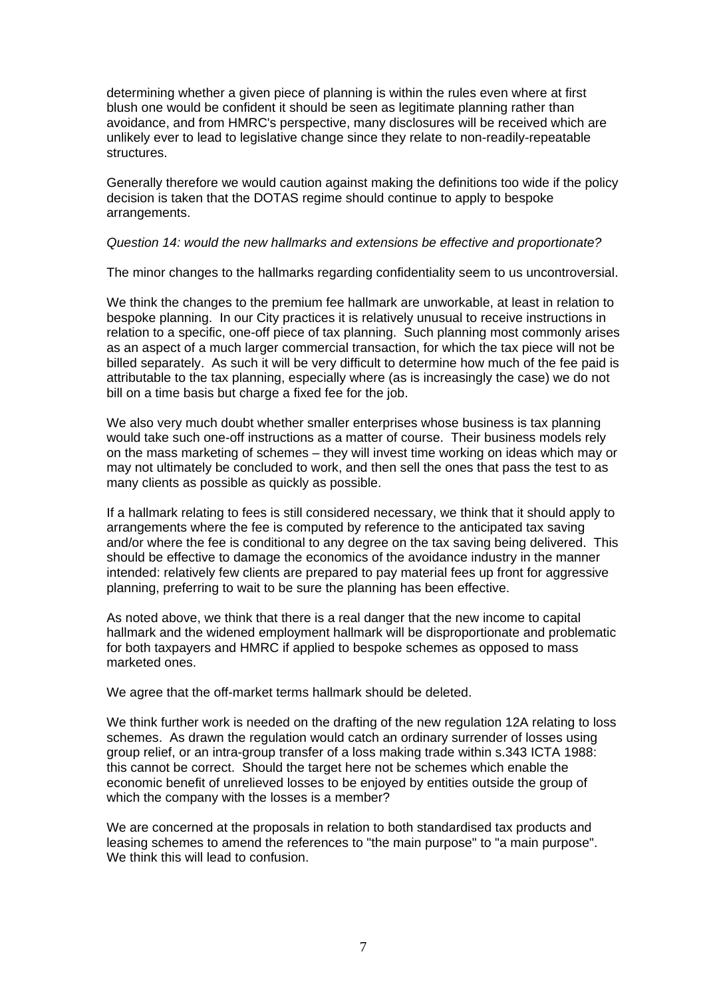determining whether a given piece of planning is within the rules even where at first blush one would be confident it should be seen as legitimate planning rather than avoidance, and from HMRC's perspective, many disclosures will be received which are unlikely ever to lead to legislative change since they relate to non-readily-repeatable structures.

Generally therefore we would caution against making the definitions too wide if the policy decision is taken that the DOTAS regime should continue to apply to bespoke arrangements.

#### *Question 14: would the new hallmarks and extensions be effective and proportionate?*

The minor changes to the hallmarks regarding confidentiality seem to us uncontroversial.

We think the changes to the premium fee hallmark are unworkable, at least in relation to bespoke planning. In our City practices it is relatively unusual to receive instructions in relation to a specific, one-off piece of tax planning. Such planning most commonly arises as an aspect of a much larger commercial transaction, for which the tax piece will not be billed separately. As such it will be very difficult to determine how much of the fee paid is attributable to the tax planning, especially where (as is increasingly the case) we do not bill on a time basis but charge a fixed fee for the job.

We also very much doubt whether smaller enterprises whose business is tax planning would take such one-off instructions as a matter of course. Their business models rely on the mass marketing of schemes – they will invest time working on ideas which may or may not ultimately be concluded to work, and then sell the ones that pass the test to as many clients as possible as quickly as possible.

If a hallmark relating to fees is still considered necessary, we think that it should apply to arrangements where the fee is computed by reference to the anticipated tax saving and/or where the fee is conditional to any degree on the tax saving being delivered. This should be effective to damage the economics of the avoidance industry in the manner intended: relatively few clients are prepared to pay material fees up front for aggressive planning, preferring to wait to be sure the planning has been effective.

As noted above, we think that there is a real danger that the new income to capital hallmark and the widened employment hallmark will be disproportionate and problematic for both taxpayers and HMRC if applied to bespoke schemes as opposed to mass marketed ones.

We agree that the off-market terms hallmark should be deleted.

We think further work is needed on the drafting of the new regulation 12A relating to loss schemes. As drawn the regulation would catch an ordinary surrender of losses using group relief, or an intra-group transfer of a loss making trade within s.343 ICTA 1988: this cannot be correct. Should the target here not be schemes which enable the economic benefit of unrelieved losses to be enjoyed by entities outside the group of which the company with the losses is a member?

We are concerned at the proposals in relation to both standardised tax products and leasing schemes to amend the references to "the main purpose" to "a main purpose". We think this will lead to confusion.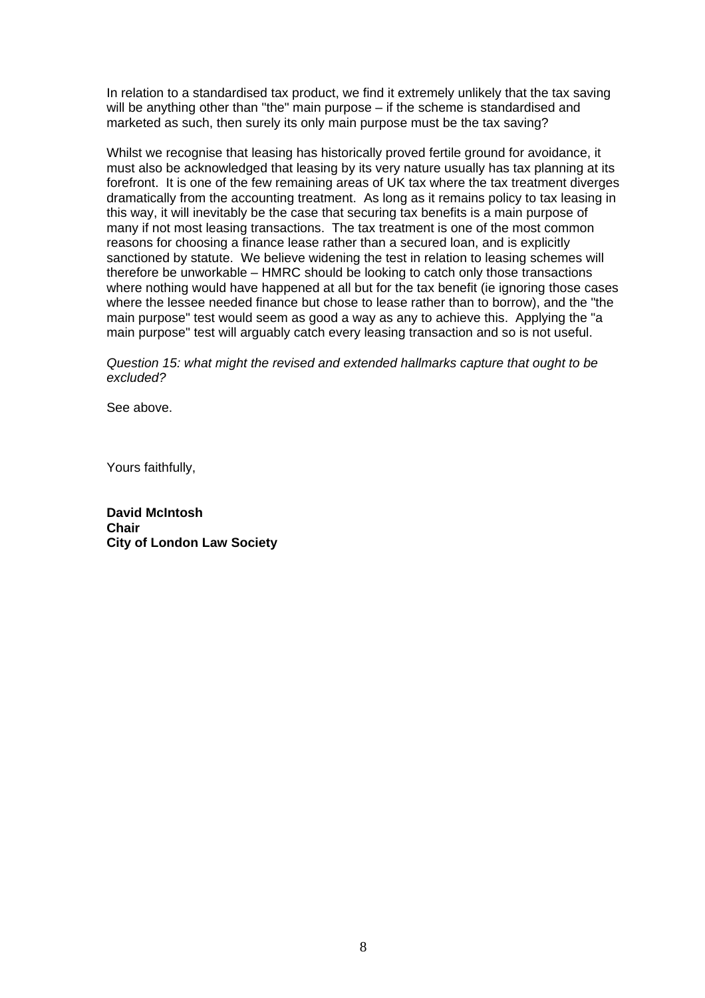In relation to a standardised tax product, we find it extremely unlikely that the tax saving will be anything other than "the" main purpose – if the scheme is standardised and marketed as such, then surely its only main purpose must be the tax saving?

Whilst we recognise that leasing has historically proved fertile ground for avoidance, it must also be acknowledged that leasing by its very nature usually has tax planning at its forefront. It is one of the few remaining areas of UK tax where the tax treatment diverges dramatically from the accounting treatment. As long as it remains policy to tax leasing in this way, it will inevitably be the case that securing tax benefits is a main purpose of many if not most leasing transactions. The tax treatment is one of the most common reasons for choosing a finance lease rather than a secured loan, and is explicitly sanctioned by statute. We believe widening the test in relation to leasing schemes will therefore be unworkable – HMRC should be looking to catch only those transactions where nothing would have happened at all but for the tax benefit (ie ignoring those cases where the lessee needed finance but chose to lease rather than to borrow), and the "the main purpose" test would seem as good a way as any to achieve this. Applying the "a main purpose" test will arguably catch every leasing transaction and so is not useful.

*Question 15: what might the revised and extended hallmarks capture that ought to be excluded?* 

See above.

Yours faithfully,

**David McIntosh Chair City of London Law Society**